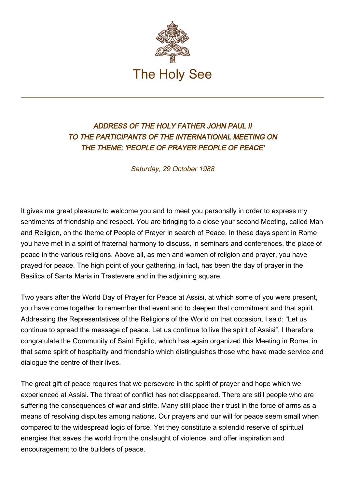

## ADDRESS OF THE HOLY FATHER JOHN PAUL II TO THE PARTICIPANTS OF THE INTERNATIONAL MEETING ON THE THEME: 'PEOPLE OF PRAYER PEOPLE OF PEACE'

Saturday, 29 October 1988

It gives me great pleasure to welcome you and to meet you personally in order to express my sentiments of friendship and respect. You are bringing to a close your second Meeting, called Man and Religion, on the theme of People of Prayer in search of Peace. In these days spent in Rome you have met in a spirit of fraternal harmony to discuss, in seminars and conferences, the place of peace in the various religions. Above all, as men and women of religion and prayer, you have prayed for peace. The high point of your gathering, in fact, has been the day of prayer in the Basilica of Santa Maria in Trastevere and in the adjoining square.

Two years after the World Day of Prayer for Peace at Assisi, at which some of you were present, you have come together to remember that event and to deepen that commitment and that spirit. Addressing the Representatives of the Religions of the World on that occasion, I said: "Let us continue to spread the message of peace. Let us continue to live the spirit of Assisi". I therefore congratulate the Community of Saint Egidio, which has again organized this Meeting in Rome, in that same spirit of hospitality and friendship which distinguishes those who have made service and dialogue the centre of their lives.

The great gift of peace requires that we persevere in the spirit of prayer and hope which we experienced at Assisi. The threat of conflict has not disappeared. There are still people who are suffering the consequences of war and strife. Many still place their trust in the force of arms as a means of resolving disputes among nations. Our prayers and our will for peace seem small when compared to the widespread logic of force. Yet they constitute a splendid reserve of spiritual energies that saves the world from the onslaught of violence, and offer inspiration and encouragement to the builders of peace.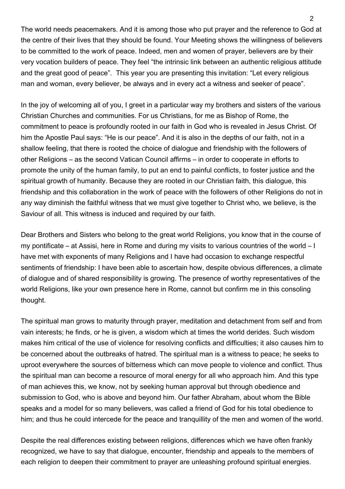The world needs peacemakers. And it is among those who put prayer and the reference to God at the centre of their lives that they should be found. Your Meeting shows the willingness of believers to be committed to the work of peace. Indeed, men and women of prayer, believers are by their very vocation builders of peace. They feel "the intrinsic link between an authentic religious attitude and the great good of peace". This year you are presenting this invitation: "Let every religious man and woman, every believer, be always and in every act a witness and seeker of peace".

In the joy of welcoming all of you, I greet in a particular way my brothers and sisters of the various Christian Churches and communities. For us Christians, for me as Bishop of Rome, the commitment to peace is profoundly rooted in our faith in God who is revealed in Jesus Christ. Of him the Apostle Paul says: "He is our peace". And it is also in the depths of our faith, not in a shallow feeling, that there is rooted the choice of dialogue and friendship with the followers of other Religions – as the second Vatican Council affirms – in order to cooperate in efforts to promote the unity of the human family, to put an end to painful conflicts, to foster justice and the spiritual growth of humanity. Because they are rooted in our Christian faith, this dialogue, this friendship and this collaboration in the work of peace with the followers of other Religions do not in any way diminish the faithful witness that we must give together to Christ who, we believe, is the Saviour of all. This witness is induced and required by our faith.

Dear Brothers and Sisters who belong to the great world Religions, you know that in the course of my pontificate – at Assisi, here in Rome and during my visits to various countries of the world – I have met with exponents of many Religions and I have had occasion to exchange respectful sentiments of friendship: I have been able to ascertain how, despite obvious differences, a climate of dialogue and of shared responsibility is growing. The presence of worthy representatives of the world Religions, like your own presence here in Rome, cannot but confirm me in this consoling thought.

The spiritual man grows to maturity through prayer, meditation and detachment from self and from vain interests; he finds, or he is given, a wisdom which at times the world derides. Such wisdom makes him critical of the use of violence for resolving conflicts and difficulties; it also causes him to be concerned about the outbreaks of hatred. The spiritual man is a witness to peace; he seeks to uproot everywhere the sources of bitterness which can move people to violence and conflict. Thus the spiritual man can become a resource of moral energy for all who approach him. And this type of man achieves this, we know, not by seeking human approval but through obedience and submission to God, who is above and beyond him. Our father Abraham, about whom the Bible speaks and a model for so many believers, was called a friend of God for his total obedience to him; and thus he could intercede for the peace and tranquillity of the men and women of the world.

Despite the real differences existing between religions, differences which we have often frankly recognized, we have to say that dialogue, encounter, friendship and appeals to the members of each religion to deepen their commitment to prayer are unleashing profound spiritual energies.